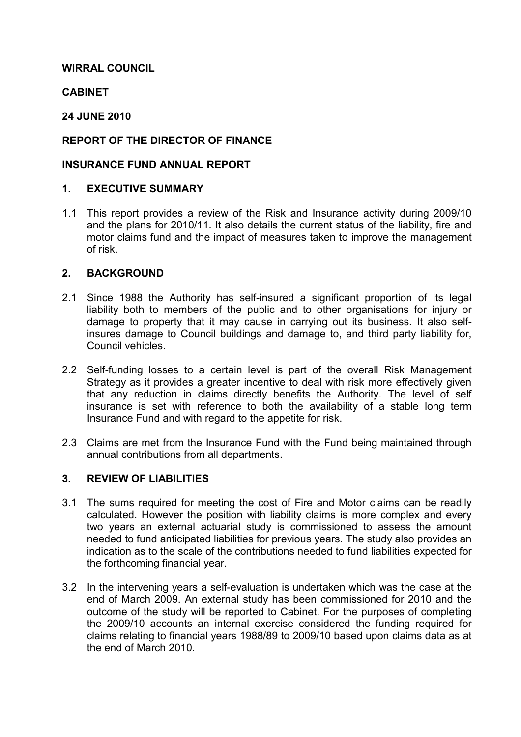# WIRRAL COUNCIL

# **CABINET**

# 24 JUNE 2010

# REPORT OF THE DIRECTOR OF FINANCE

## INSURANCE FUND ANNUAL REPORT

### 1. EXECUTIVE SUMMARY

1.1 This report provides a review of the Risk and Insurance activity during 2009/10 and the plans for 2010/11. It also details the current status of the liability, fire and motor claims fund and the impact of measures taken to improve the management of risk.

## 2. BACKGROUND

- 2.1 Since 1988 the Authority has self-insured a significant proportion of its legal liability both to members of the public and to other organisations for injury or damage to property that it may cause in carrying out its business. It also selfinsures damage to Council buildings and damage to, and third party liability for, Council vehicles.
- 2.2 Self-funding losses to a certain level is part of the overall Risk Management Strategy as it provides a greater incentive to deal with risk more effectively given that any reduction in claims directly benefits the Authority. The level of self insurance is set with reference to both the availability of a stable long term Insurance Fund and with regard to the appetite for risk.
- 2.3 Claims are met from the Insurance Fund with the Fund being maintained through annual contributions from all departments.

### 3. REVIEW OF LIABILITIES

- 3.1 The sums required for meeting the cost of Fire and Motor claims can be readily calculated. However the position with liability claims is more complex and every two years an external actuarial study is commissioned to assess the amount needed to fund anticipated liabilities for previous years. The study also provides an indication as to the scale of the contributions needed to fund liabilities expected for the forthcoming financial year.
- 3.2 In the intervening years a self-evaluation is undertaken which was the case at the end of March 2009. An external study has been commissioned for 2010 and the outcome of the study will be reported to Cabinet. For the purposes of completing the 2009/10 accounts an internal exercise considered the funding required for claims relating to financial years 1988/89 to 2009/10 based upon claims data as at the end of March 2010.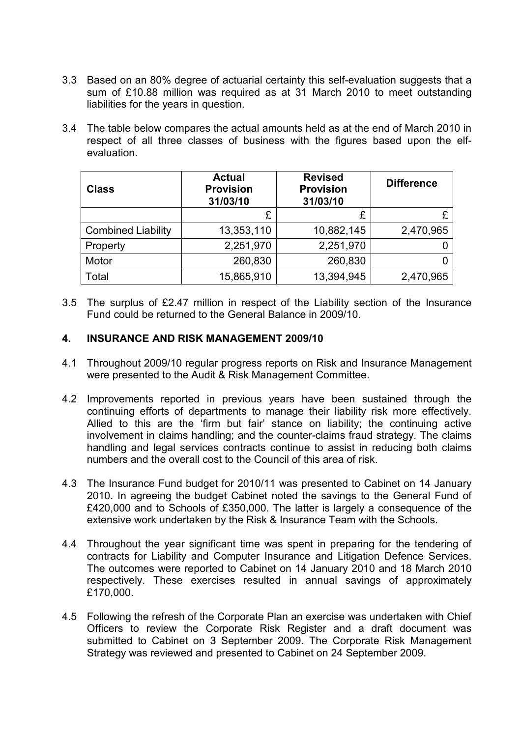- 3.3 Based on an 80% degree of actuarial certainty this self-evaluation suggests that a sum of £10.88 million was required as at 31 March 2010 to meet outstanding liabilities for the years in question.
- 3.4 The table below compares the actual amounts held as at the end of March 2010 in respect of all three classes of business with the figures based upon the elfevaluation.

| <b>Class</b>              | <b>Actual</b><br><b>Provision</b><br>31/03/10 | <b>Revised</b><br><b>Provision</b><br>31/03/10 | <b>Difference</b> |
|---------------------------|-----------------------------------------------|------------------------------------------------|-------------------|
|                           | £                                             | £                                              |                   |
| <b>Combined Liability</b> | 13,353,110                                    | 10,882,145                                     | 2,470,965         |
| Property                  | 2,251,970                                     | 2,251,970                                      |                   |
| Motor                     | 260,830                                       | 260,830                                        |                   |
| Total                     | 15,865,910                                    | 13,394,945                                     | 2,470,965         |

3.5 The surplus of £2.47 million in respect of the Liability section of the Insurance Fund could be returned to the General Balance in 2009/10.

### 4. INSURANCE AND RISK MANAGEMENT 2009/10

- 4.1 Throughout 2009/10 regular progress reports on Risk and Insurance Management were presented to the Audit & Risk Management Committee.
- 4.2 Improvements reported in previous years have been sustained through the continuing efforts of departments to manage their liability risk more effectively. Allied to this are the 'firm but fair' stance on liability; the continuing active involvement in claims handling; and the counter-claims fraud strategy. The claims handling and legal services contracts continue to assist in reducing both claims numbers and the overall cost to the Council of this area of risk.
- 4.3 The Insurance Fund budget for 2010/11 was presented to Cabinet on 14 January 2010. In agreeing the budget Cabinet noted the savings to the General Fund of £420,000 and to Schools of £350,000. The latter is largely a consequence of the extensive work undertaken by the Risk & Insurance Team with the Schools.
- 4.4 Throughout the year significant time was spent in preparing for the tendering of contracts for Liability and Computer Insurance and Litigation Defence Services. The outcomes were reported to Cabinet on 14 January 2010 and 18 March 2010 respectively. These exercises resulted in annual savings of approximately £170,000.
- 4.5 Following the refresh of the Corporate Plan an exercise was undertaken with Chief Officers to review the Corporate Risk Register and a draft document was submitted to Cabinet on 3 September 2009. The Corporate Risk Management Strategy was reviewed and presented to Cabinet on 24 September 2009.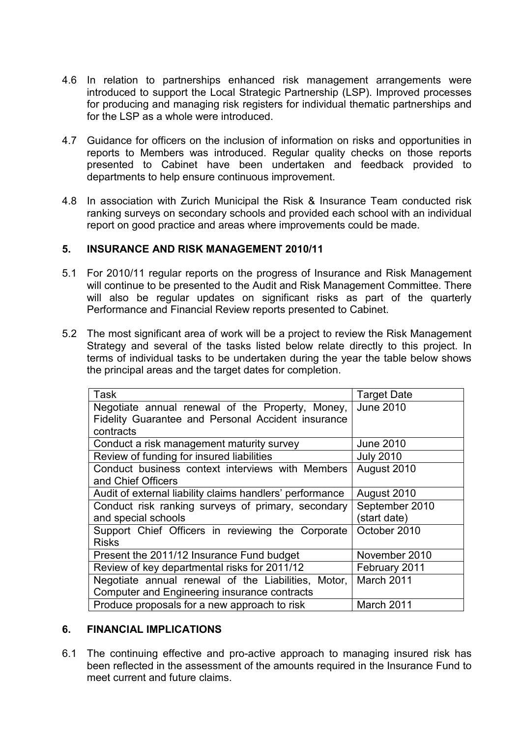- 4.6 In relation to partnerships enhanced risk management arrangements were introduced to support the Local Strategic Partnership (LSP). Improved processes for producing and managing risk registers for individual thematic partnerships and for the LSP as a whole were introduced.
- 4.7 Guidance for officers on the inclusion of information on risks and opportunities in reports to Members was introduced. Regular quality checks on those reports presented to Cabinet have been undertaken and feedback provided to departments to help ensure continuous improvement.
- 4.8 In association with Zurich Municipal the Risk & Insurance Team conducted risk ranking surveys on secondary schools and provided each school with an individual report on good practice and areas where improvements could be made.

## 5. INSURANCE AND RISK MANAGEMENT 2010/11

- 5.1 For 2010/11 regular reports on the progress of Insurance and Risk Management will continue to be presented to the Audit and Risk Management Committee. There will also be regular updates on significant risks as part of the quarterly Performance and Financial Review reports presented to Cabinet.
- 5.2 The most significant area of work will be a project to review the Risk Management Strategy and several of the tasks listed below relate directly to this project. In terms of individual tasks to be undertaken during the year the table below shows the principal areas and the target dates for completion.

| <b>Task</b>                                              | <b>Target Date</b> |
|----------------------------------------------------------|--------------------|
| Negotiate annual renewal of the Property, Money,         | <b>June 2010</b>   |
| Fidelity Guarantee and Personal Accident insurance       |                    |
| contracts                                                |                    |
| Conduct a risk management maturity survey                | <b>June 2010</b>   |
| Review of funding for insured liabilities                | <b>July 2010</b>   |
| Conduct business context interviews with Members         | August 2010        |
| and Chief Officers                                       |                    |
| Audit of external liability claims handlers' performance | August 2010        |
| Conduct risk ranking surveys of primary, secondary       | September 2010     |
| and special schools                                      | (start date)       |
| Support Chief Officers in reviewing the Corporate        | October 2010       |
| <b>Risks</b>                                             |                    |
| Present the 2011/12 Insurance Fund budget                | November 2010      |
| Review of key departmental risks for 2011/12             | February 2011      |
| Negotiate annual renewal of the Liabilities, Motor,      | March 2011         |
| Computer and Engineering insurance contracts             |                    |
| Produce proposals for a new approach to risk             | March 2011         |

### 6. FINANCIAL IMPLICATIONS

6.1 The continuing effective and pro-active approach to managing insured risk has been reflected in the assessment of the amounts required in the Insurance Fund to meet current and future claims.